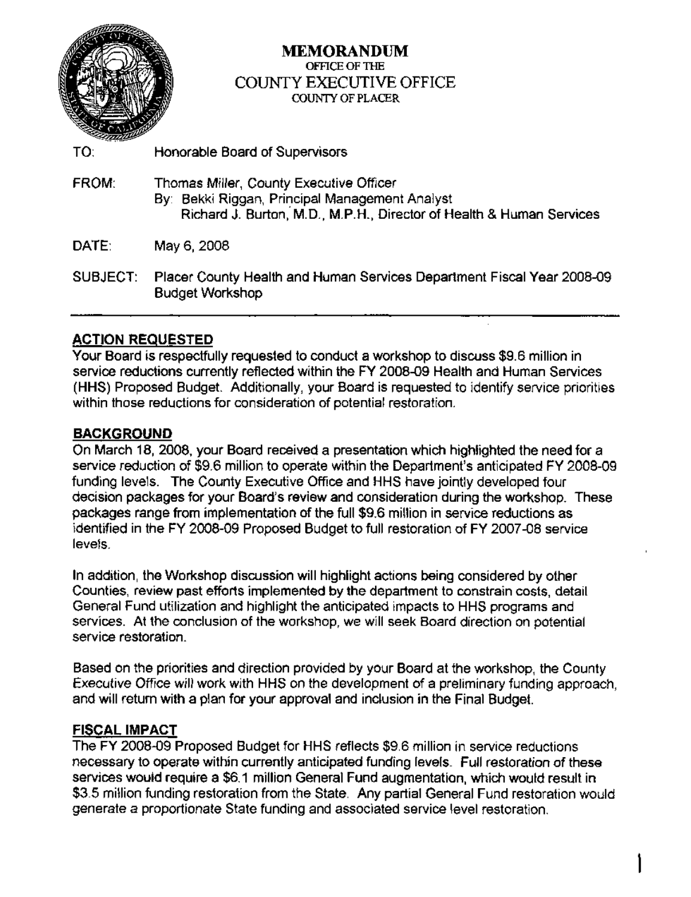

#### MEMORANDUM OFFICE OF THE COUNTY EXECUTIVE OFFICE COUNTY OF PLACER

- TO: Honorable Board of Supervisors FROM: Thomas Miller, County Executive Officer By: Bekki Riggan, Principal Management Analyst Richard J. Burton,' M.D., M.P.H., Director of Health & Human Services DATE: May 6, 2008
- SUBJECT: Placer County Health and Human Services Department Fiscal Year 2008-09 Budget Workshop

#### **ACTION REQUESTED**

Your Board is respectfully requested to conduct a workshop to discuss \$9.6 million in service reductions currently reflected within the FY 2008-09 Health and Human Services (HHS) Proposed Budget. Additionally, your Board is requested to identify service priorities within those reductions for consideration of potential restoration.

#### BACKGROUND

On March 18, 2008, your Board received a presentation which highlighted the need for a service reduction of \$9.6 million to operate within the Department's anticipated FY 2008-09 funding levels. The County Executive Office and HHS have jointly developed four decision packages for your Board's review and consideration during the workshop. These packages range from implementation of the full \$9.6 million in service reductions as identified in the FY 2008-09 Proposed Budget to full restoration of FY 2007-08 service levels.

In addition, the Workshop discussion will highlight actions being considered by other Counties, review past efforts implemented by the department to constrain costs, detail General Fund utilization and highlight the anticipated impacts to HHS programs and services. At the conclusion of the workshop, we will seek Board direction on potential service restoration.

Based on the priorities and direction provided by your Board at the workshop, the County Executive Office will work with HHS on the development of a preliminary funding approach, and will return with a plan for your approval and inclusion in the Final Budget.

#### FISCAL IMPACT

The FY 2008-09 Proposed Budget for HHS reflects \$9.6 million in service reductions necessary to operate within currently anticipated funding levels. Full restoration of these services would require a \$6.1 million General Fund augmentation, which would result in \$3.5 million funding restoration from the State. Any partial General Fund restoration would generate a proportionate State funding and associated service level restoration.

1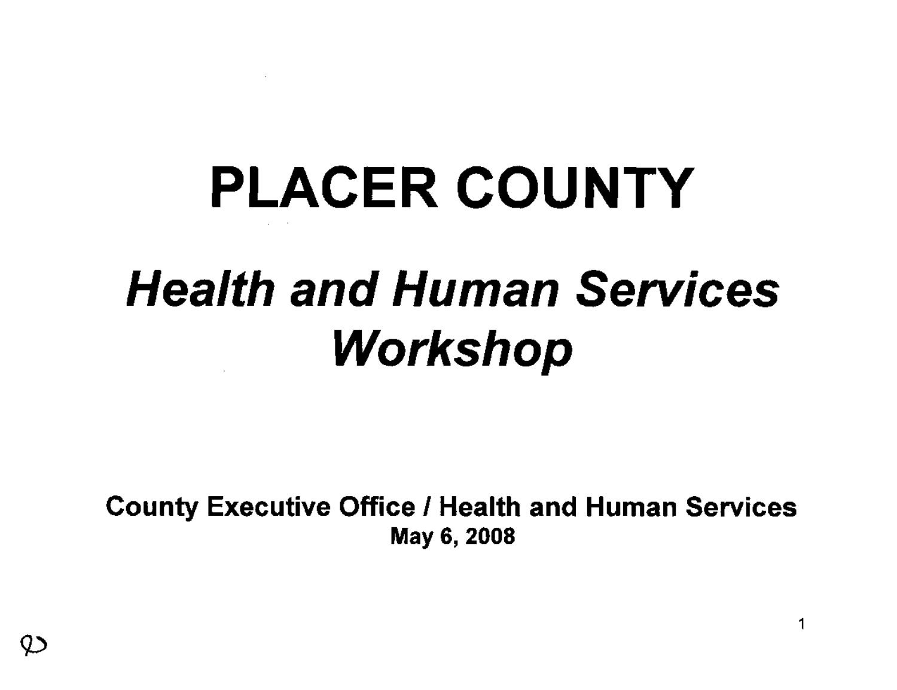# PLACER COUNTY Health and Human Services Workshop

County Executive Office I Health and Human Services May 6,2008

1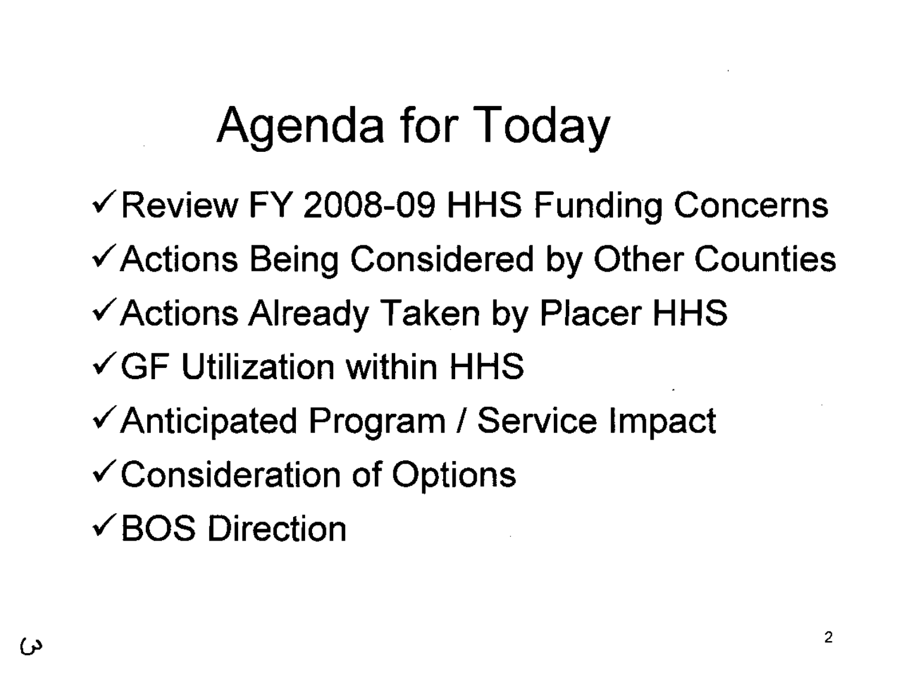## **Agenda for Today**

- $\sqrt{R}$  Review FY 2008-09 HHS Funding Concerns
- Actions Being Considered by Other Counties
- Actions Already Taken by Placer HHS
- ~GF **Utilization within** HHS
- Anticipated Program *I* Service Impact
- $\checkmark$  Consideration of Options
- BOS **Direction**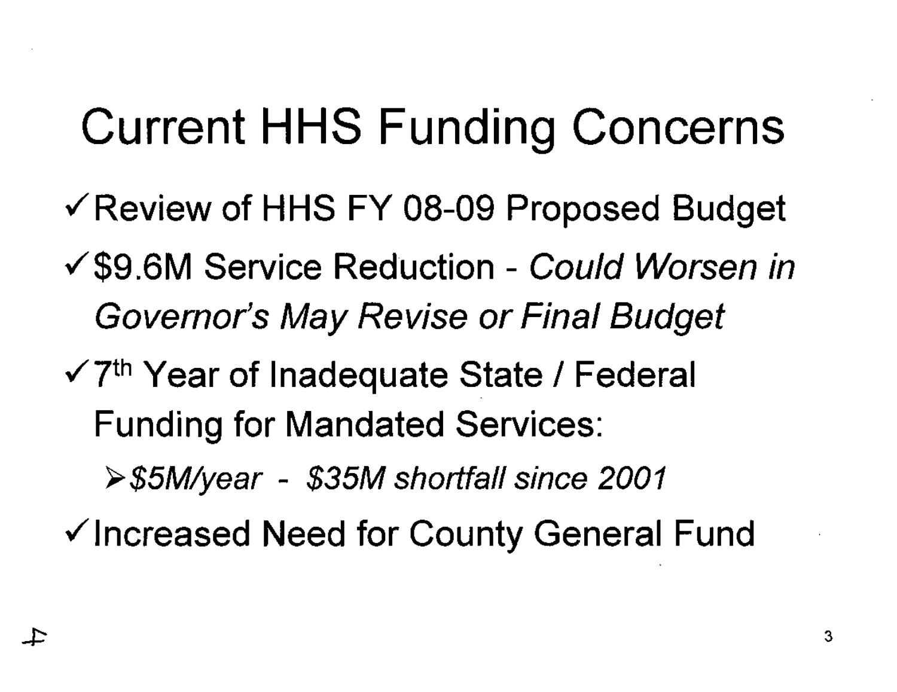### **Current HHS Funding Concerns**

- ✓ Review of HHS FY 08-09 Proposed Budget
- √\$9.6M Service Reduction Could Worsen in Governor's May Revise or Final Budget
- $\sqrt{7}$ <sup>th</sup> Year of Inadequate State / Federal **Funding for Mandated Services:**

≻\$5M/year - \$35M shortfall since 2001

√Increased Need for County General Fund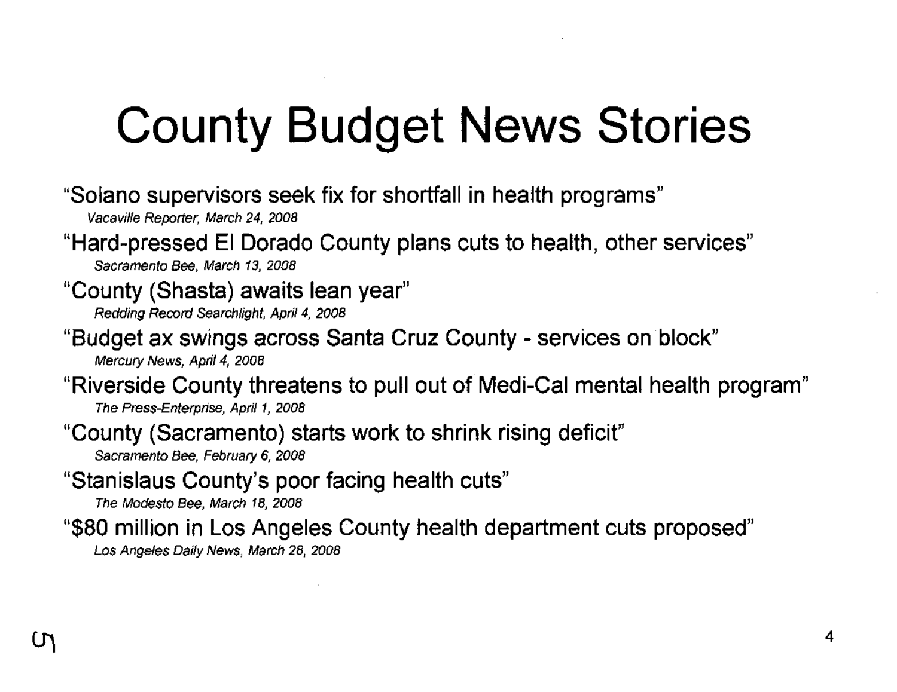## **County Budget News Stories**

- **"Solano supervisors seek fix for shortfall in health programs"** Vacaville Reporter, March 24, 2008
- **"Hard-pressed EI Dorado County plans cuts to health, other services"** Sacramento Bee, March 13, 2008
- **"County (Shasta) awaits lean year"** Redding Record Searchlight, April 4, 2008
- **"Budget ax swings across Santa Cruz County - services on** 'block" Mercury News, April 4, 2008
- **"Riverside County threatens to pull out** of" **Medi-Cal mental health program"** The Press-Enterprise, April 1, 2008
- **"County (Sacramento) starts work to shrink rising deficit"** Sacramento Bee, February 6, 2008
- **"Stanislaus County's poor facing health cuts"**
	- The Modesto Bee, March 18, 2008
- **"\$80 million in Los Angeles County health department cuts proposed"**
	- Los Angeles Daily News, March 28, 2008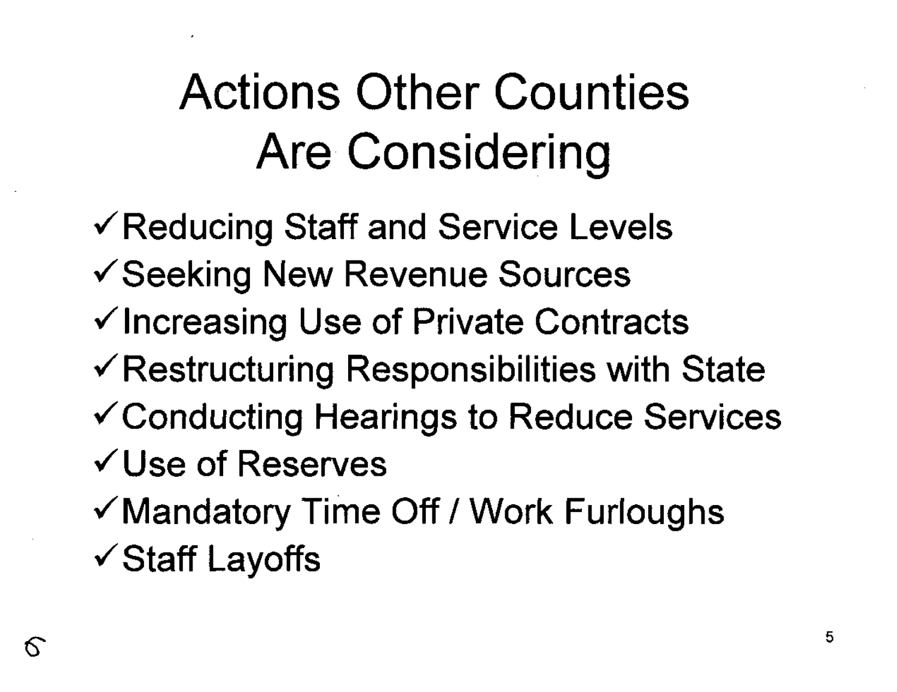## **Actions Other Counties Are Considering**

 $\checkmark$  Reducing Staff and Service Levels ~Seeking New Revenue Sources  $\checkmark$  Increasing Use of Private Contracts  $\checkmark$  Restructuring Responsibilities with State ~Conducting Hearings to Reduce Services ~Use **of Reserves**  $\checkmark$  Mandatory Time Off / Work Furloughs  $\checkmark$  Staff Layoffs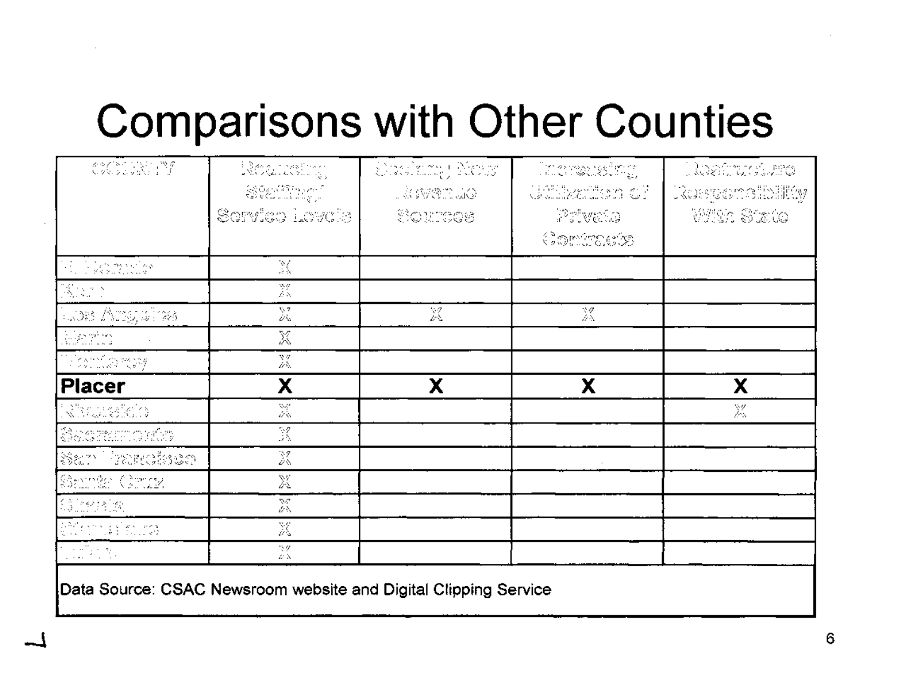### **Comparisons with Other Counties**

| $\begin{array}{l} \mathcal{L}^{\infty} \mathcal{L}^{\infty} \subset \mathbb{C}^{N+1} \setminus \mathbb{C}^{N-1} \setminus \mathbb{C}^{N-1} \\ \mathbb{C}^{N} \times \mathbb{C}^{N} \times \mathbb{C}^{N} \times \mathbb{C}^{N-1} \end{array}$                                                                                                                                                                           | Register                                                                                                                                                                                                                                                                                                                                                                                                                                                                                  | Ordiny Now  | Increases inc.                                                                | Nedro Viene    |
|-------------------------------------------------------------------------------------------------------------------------------------------------------------------------------------------------------------------------------------------------------------------------------------------------------------------------------------------------------------------------------------------------------------------------|-------------------------------------------------------------------------------------------------------------------------------------------------------------------------------------------------------------------------------------------------------------------------------------------------------------------------------------------------------------------------------------------------------------------------------------------------------------------------------------------|-------------|-------------------------------------------------------------------------------|----------------|
|                                                                                                                                                                                                                                                                                                                                                                                                                         | $\begin{array}{l} \displaystyle \bigotimes_{\mathcal{P}} \bigotimes_{\mathcal{P}} \mathcal{L}^{\infty} \bigotimes_{\mathcal{P}} \mathcal{L}^{\infty} \bigotimes_{\mathcal{P}} \mathcal{L}^{\infty} \bigotimes_{\mathcal{P}} \mathcal{L}^{\infty} \bigotimes_{\mathcal{P}} \mathcal{L}^{\infty} \bigotimes_{\mathcal{P}} \mathcal{L}^{\infty} \bigotimes_{\mathcal{P}} \mathcal{L}^{\infty} \bigotimes_{\mathcal{P}} \mathcal{L}^{\infty} \bigotimes_{\mathcal{P}} \mathcal{L}^{\infty} \$ | LÀ IMBITULO | Talluwitan el                                                                 | Rusyonsibility |
|                                                                                                                                                                                                                                                                                                                                                                                                                         | Service Levels                                                                                                                                                                                                                                                                                                                                                                                                                                                                            | Sources     | Privato                                                                       | With State     |
|                                                                                                                                                                                                                                                                                                                                                                                                                         |                                                                                                                                                                                                                                                                                                                                                                                                                                                                                           |             | $\mathbb{C}^{\infty}_{\mathbb{C}}$ , where $\mathbb{C}^{\infty}_{\mathbb{C}}$ |                |
| W. Warehouse                                                                                                                                                                                                                                                                                                                                                                                                            | X                                                                                                                                                                                                                                                                                                                                                                                                                                                                                         |             |                                                                               |                |
| $\mathbb{R}^{n \times n}$                                                                                                                                                                                                                                                                                                                                                                                               | X                                                                                                                                                                                                                                                                                                                                                                                                                                                                                         |             |                                                                               |                |
| Tuos Arrywing                                                                                                                                                                                                                                                                                                                                                                                                           | $\nabla\cdot\mathbf{Z}$<br>ΰŵ.                                                                                                                                                                                                                                                                                                                                                                                                                                                            | X           | 忽                                                                             |                |
| Alexin                                                                                                                                                                                                                                                                                                                                                                                                                  | X                                                                                                                                                                                                                                                                                                                                                                                                                                                                                         |             |                                                                               |                |
| <u>Time and</u>                                                                                                                                                                                                                                                                                                                                                                                                         | X                                                                                                                                                                                                                                                                                                                                                                                                                                                                                         |             |                                                                               |                |
| <b>Placer</b>                                                                                                                                                                                                                                                                                                                                                                                                           | Χ                                                                                                                                                                                                                                                                                                                                                                                                                                                                                         | х           | χ                                                                             | χ              |
| <b>Ramaresich</b>                                                                                                                                                                                                                                                                                                                                                                                                       | X                                                                                                                                                                                                                                                                                                                                                                                                                                                                                         |             |                                                                               | X              |
| $\begin{array}{l} \mathbb{S}^3 \oplus \mathbb{S}^3 \oplus \mathbb{S}^3 \oplus \mathbb{S}^3 \oplus \mathbb{S}^3 \oplus \mathbb{S}^3 \oplus \mathbb{S}^3 \oplus \mathbb{S}^3 \oplus \mathbb{S}^3 \oplus \mathbb{S}^3 \oplus \mathbb{S}^3 \oplus \mathbb{S}^3 \oplus \mathbb{S}^3 \oplus \mathbb{S}^3 \oplus \mathbb{S}^3 \oplus \mathbb{S}^3 \oplus \mathbb{S}^3 \oplus \mathbb{S}^3 \oplus \mathbb{S}^3 \oplus \mathbb{$ | X                                                                                                                                                                                                                                                                                                                                                                                                                                                                                         |             |                                                                               |                |
| San<br>Pranctisca                                                                                                                                                                                                                                                                                                                                                                                                       | X                                                                                                                                                                                                                                                                                                                                                                                                                                                                                         |             |                                                                               |                |
| Samta Circa                                                                                                                                                                                                                                                                                                                                                                                                             | X                                                                                                                                                                                                                                                                                                                                                                                                                                                                                         |             |                                                                               |                |
| Birasia                                                                                                                                                                                                                                                                                                                                                                                                                 | X                                                                                                                                                                                                                                                                                                                                                                                                                                                                                         |             |                                                                               |                |
| a <sup>nd</sup> ermasifolita                                                                                                                                                                                                                                                                                                                                                                                            | X                                                                                                                                                                                                                                                                                                                                                                                                                                                                                         |             |                                                                               |                |
| a Tinggi                                                                                                                                                                                                                                                                                                                                                                                                                | $\gamma g$<br>安久                                                                                                                                                                                                                                                                                                                                                                                                                                                                          |             |                                                                               |                |

**Data Source: CSAC Newsroom website and Digital Clipping Service**

-1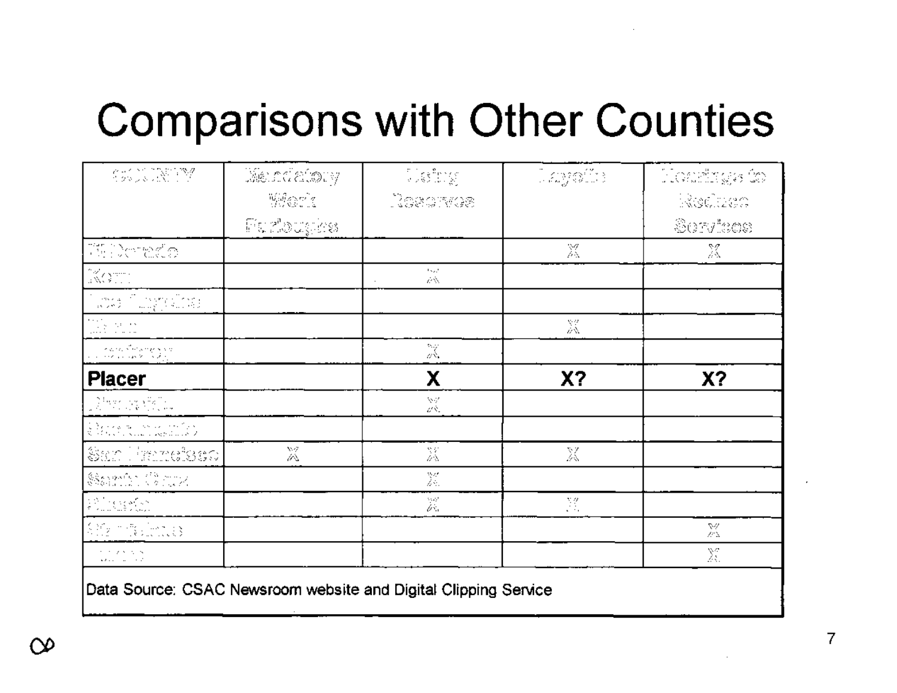### **Comparisons with Other Counties**

| $\label{eq:G2} \begin{array}{l} \mathcal{C}_{12} \times \mathcal{C}_{12} \times \mathcal{C}_{12} \times \mathcal{C}_{21} \times \mathcal{C}_{22} \times \mathcal{C}_{21} \times \mathcal{C}_{22} \times \mathcal{C}_{21} \times \mathcal{C}_{22} \times \mathcal{C}_{21} \times \mathcal{C}_{22} \times \mathcal{C}_{21} \times \mathcal{C}_{22} \times \mathcal{C}_{21} \times \mathcal{C}_{22} \times \mathcal{C}_{21} \times \mathcal{C}_{22} \times \mathcal{C}_{21} \times \mathcal{C}_{2$ | Mandalony                                                                                                                                                                                                                                                                                                                                                                                                                                                                                                                                                                                                                                                                                                                         | 5.522       | $\left[ \mathcal{L}(\mathcal{Y}(\mathcal{Y}^{(2)})) \right]$ | Hoarings &                      |
|-------------------------------------------------------------------------------------------------------------------------------------------------------------------------------------------------------------------------------------------------------------------------------------------------------------------------------------------------------------------------------------------------------------------------------------------------------------------------------------------------|-----------------------------------------------------------------------------------------------------------------------------------------------------------------------------------------------------------------------------------------------------------------------------------------------------------------------------------------------------------------------------------------------------------------------------------------------------------------------------------------------------------------------------------------------------------------------------------------------------------------------------------------------------------------------------------------------------------------------------------|-------------|--------------------------------------------------------------|---------------------------------|
|                                                                                                                                                                                                                                                                                                                                                                                                                                                                                                 | $\begin{array}{l} \left\langle \left\langle \left\langle \right\rangle \right\rangle \right\rangle _{1}^{2}g_{\mu }^{2}\left\langle \left\langle \left\langle \right\rangle \right\rangle \right\rangle \left\langle \left\langle \left\langle \right\rangle \right\rangle \right\rangle \left\langle \left\langle \left\langle \right\rangle \right\rangle \right\rangle \left\langle \left\langle \left\langle \right\rangle \right\rangle \left\langle \left\langle \left\langle \right\rangle \right\rangle \right\rangle \left\langle \left\langle \left\langle \right\rangle \right\rangle \right\rangle \left\langle \left\langle \left\langle \right\rangle \right\rangle \right\rangle \left\langle \left\langle \left\$ | Dasarves    |                                                              | Reduct                          |
|                                                                                                                                                                                                                                                                                                                                                                                                                                                                                                 | $\mathbb{H} \subseteq \mathbb{Z}^n \otimes \mathbb{Z}^n \otimes \mathbb{Z}^n$                                                                                                                                                                                                                                                                                                                                                                                                                                                                                                                                                                                                                                                     |             |                                                              | Servisos                        |
| $\bigcup_{i=1}^{m+n-1}\bigcup_{i=1}^{m}\bigcup_{j=1}^{m}\bigcup_{i=1}^{m+n}\bigcup_{j=1}^{m+n}\bigcup_{j=1}^{m+n}\bigcup_{i=1}^{m+n}\bigcup_{j=1}^{m+n}\bigcup_{j=1}^{m+n}\bigcup_{j=1}^{m+n}\bigcup_{j=1}^{m+n}\bigcup_{j=1}^{m+n}\bigcup_{j=1}^{m+n}\bigcup_{j=1}^{m+n}\bigcup_{j=1}^{m+n}\bigcup_{j=1}^{m+n}\bigcup_{j=1}^{m+n}\bigcup_{j=1}^{m+n}\bigcup_{j=1}^{m+n}\bigcup_{j=1}^{m+n$                                                                                                     |                                                                                                                                                                                                                                                                                                                                                                                                                                                                                                                                                                                                                                                                                                                                   |             | X                                                            | X                               |
| KOTT.                                                                                                                                                                                                                                                                                                                                                                                                                                                                                           |                                                                                                                                                                                                                                                                                                                                                                                                                                                                                                                                                                                                                                                                                                                                   | 1522<br>έŵ. |                                                              |                                 |
| $\left\{ \begin{array}{ll} \cos\phi(x) & \cos\phi(x) \\ \cos\phi(x) & \cos\phi(x) \\ \cos\phi(x) & \cos\phi(x) \end{array} \right\}$                                                                                                                                                                                                                                                                                                                                                            |                                                                                                                                                                                                                                                                                                                                                                                                                                                                                                                                                                                                                                                                                                                                   |             |                                                              |                                 |
| Geratian<br>Anti-Anti-An                                                                                                                                                                                                                                                                                                                                                                                                                                                                        |                                                                                                                                                                                                                                                                                                                                                                                                                                                                                                                                                                                                                                                                                                                                   |             | X                                                            |                                 |
| $\label{eq:2} \begin{array}{c} \left\langle \sigma(x,y) \right\rangle_{\mathcal{S}} \stackrel{\text{def}}{=} \left\langle \sigma(x,y) \right\rangle_{\mathcal{S}} \stackrel{\text{def}}{=} \left\langle \sigma(x,y) \right\rangle_{\mathcal{S}} \\ \left\langle \sigma(x,y) \right\rangle_{\mathcal{S}} \stackrel{\text{def}}{=} \left\langle \sigma(x,y) \right\rangle_{\mathcal{S}} \stackrel{\text{def}}{=} \left\langle \sigma(x,y) \right\rangle_{\mathcal{S}} \end{array}$                |                                                                                                                                                                                                                                                                                                                                                                                                                                                                                                                                                                                                                                                                                                                                   | X           |                                                              |                                 |
| <b>Placer</b>                                                                                                                                                                                                                                                                                                                                                                                                                                                                                   |                                                                                                                                                                                                                                                                                                                                                                                                                                                                                                                                                                                                                                                                                                                                   | χ           | X <sub>2</sub>                                               | X?                              |
| $\sum_{i=1}^{n-1} \frac{1}{\lambda_i} \sum_{i=1}^{n-1} \frac{1}{\lambda_i} \sum_{i=1}^{n-1} \frac{1}{\lambda_i} \sum_{i=1}^{n-1} \frac{1}{\lambda_i} \sum_{i=1}^{n-1} \frac{1}{\lambda_i} \sum_{i=1}^{n-1} \frac{1}{\lambda_i} \sum_{i=1}^{n-1} \frac{1}{\lambda_i} \sum_{i=1}^{n-1} \frac{1}{\lambda_i} \sum_{i=1}^{n-1} \frac{1}{\lambda_i} \sum_{i=1}^{n-1} \frac{1}{\lambda_i} \sum_{i=1}^{n-$                                                                                              |                                                                                                                                                                                                                                                                                                                                                                                                                                                                                                                                                                                                                                                                                                                                   | W<br>άŘ.    |                                                              |                                 |
| $\begin{array}{l} \mathbb{L} \left( \sum_{i=1}^n \sum_{j=1}^n \sum_{j=1}^n \sum_{j=1}^n \sum_{j=1}^n \sum_{j=1}^n \sum_{j=1}^n \sum_{j=1}^n \sum_{j=1}^n \sum_{j=1}^n \sum_{j=1}^n \sum_{j=1}^n \sum_{j=1}^n \sum_{j=1}^n \sum_{j=1}^n \sum_{j=1}^n \sum_{j=1}^n \sum_{j=1}^n \sum_{j=1}^n \sum_{j=1}^n \sum_{j=1}^n \sum_{j=1}^n \sum_{j=1$                                                                                                                                                    |                                                                                                                                                                                                                                                                                                                                                                                                                                                                                                                                                                                                                                                                                                                                   |             |                                                              |                                 |
| San Hanelseo                                                                                                                                                                                                                                                                                                                                                                                                                                                                                    | X                                                                                                                                                                                                                                                                                                                                                                                                                                                                                                                                                                                                                                                                                                                                 | 篜           | X                                                            |                                 |
| Same Court                                                                                                                                                                                                                                                                                                                                                                                                                                                                                      |                                                                                                                                                                                                                                                                                                                                                                                                                                                                                                                                                                                                                                                                                                                                   | 篜           |                                                              |                                 |
| $\sum_{\mathbf{y} \in \mathcal{Y}} \sum_{\mathbf{y} \in \mathcal{Y}} \mathbb{E}_{\mathbf{y}} \left[ \sum_{\mathbf{y} \in \mathcal{Y}} \mathbb{E}_{\mathbf{y}} \left[ \sum_{\mathbf{y} \in \mathcal{Y}} \mathbb{E}_{\mathbf{y}} \left[ \sum_{\mathbf{y} \in \mathcal{Y}} \mathbb{E}_{\mathbf{y}} \right] \right] \right]$                                                                                                                                                                        |                                                                                                                                                                                                                                                                                                                                                                                                                                                                                                                                                                                                                                                                                                                                   | en<br>Den   | Ng.<br>$\mathbf{v} = \mathbf{v}$                             |                                 |
| $\mathbb{S}(\mathbb{M}_2)$ , where $\mathbb{S}$                                                                                                                                                                                                                                                                                                                                                                                                                                                 |                                                                                                                                                                                                                                                                                                                                                                                                                                                                                                                                                                                                                                                                                                                                   |             |                                                              | 84<br>$\mathcal{L}^{\mu}\Delta$ |
| the control is a<br>$\mathbf{u}(\mathbf{z} \mathbf{z}) = \mathbf{u}(\mathbf{z} \mathbf{z}) + \mathbf{z}(\mathbf{z})$                                                                                                                                                                                                                                                                                                                                                                            |                                                                                                                                                                                                                                                                                                                                                                                                                                                                                                                                                                                                                                                                                                                                   |             |                                                              | X                               |

Data Source: CSAC Newsroom website and Digital Clipping Service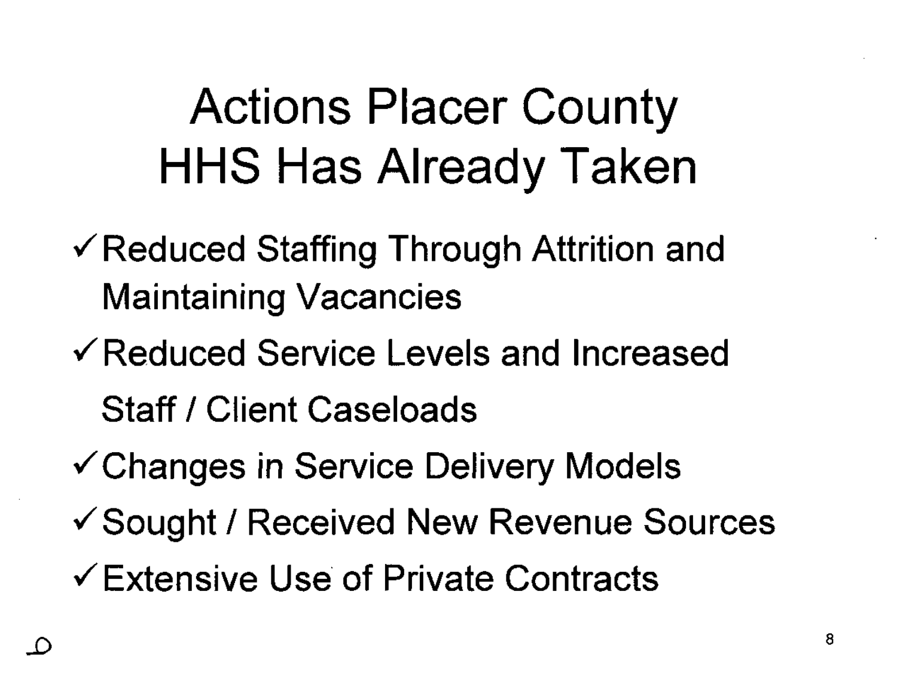## Actions Placer County HHS Has Already Taken

- $\checkmark$  Reduced Staffing Through Attrition and Maintaining Vacancies
- ./Reduced Service Levels and Increased Staff / Client Caseloads
- ./Changes in Service Delivery Models
- ./Sought *I* Received New Revenue Sources
- $\checkmark$  Extensive Use of Private Contracts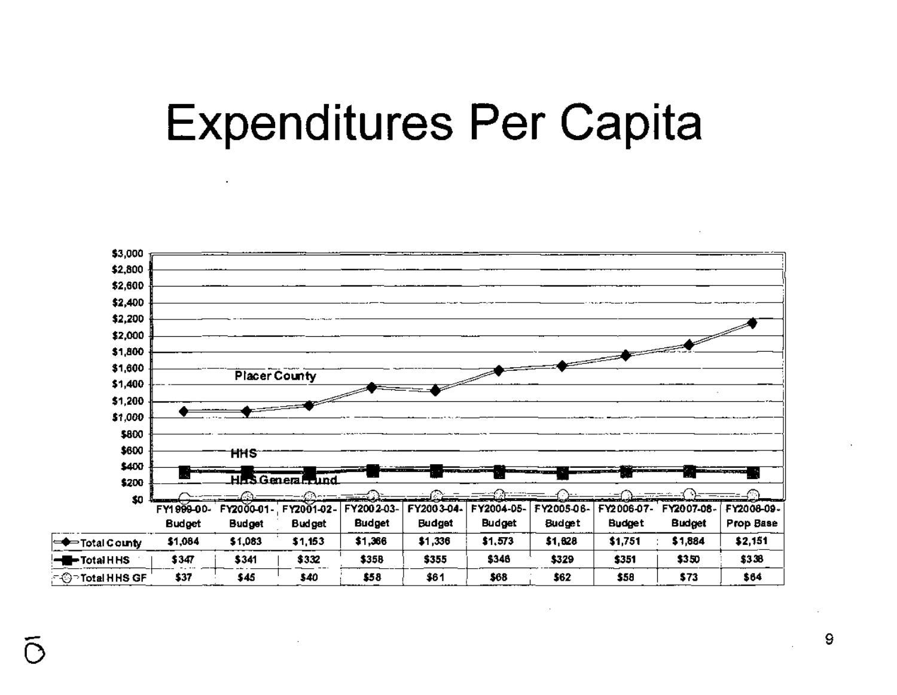### **Expenditures Per Capita**



9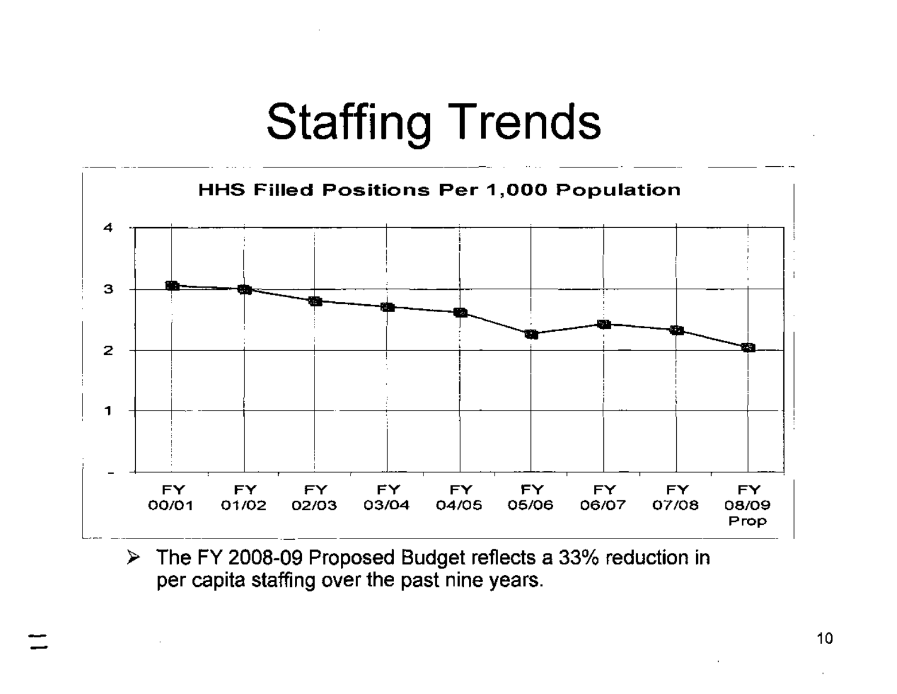### **Staffing Trends**



The FY 2008-09 Proposed Budget reflects a 33% reduction in  $\blacktriangleright$ per capita staffing over the past nine years.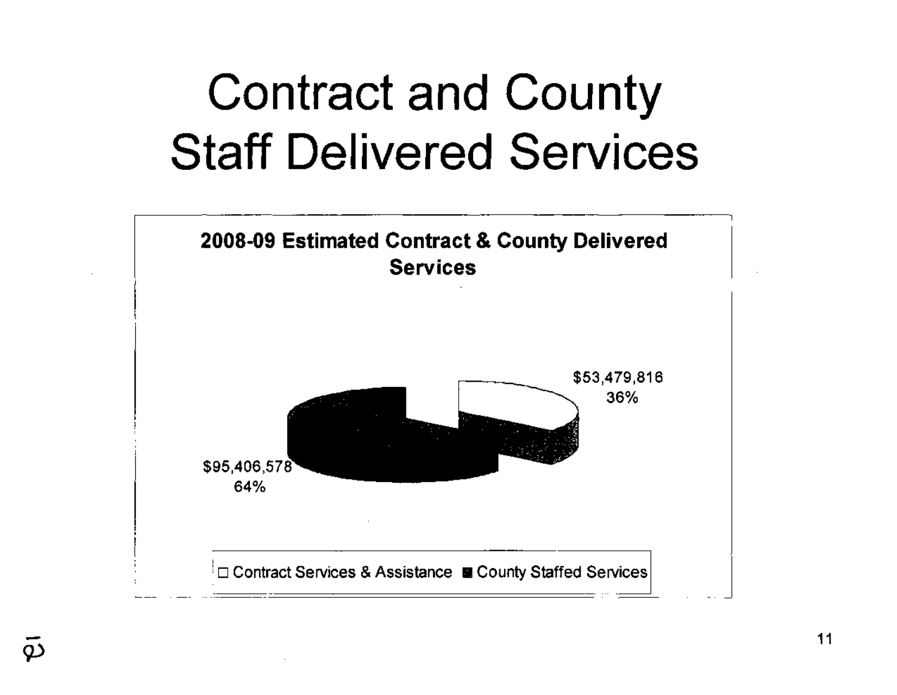## **Contract and County Staff Delivered Services**



 $\tilde{\varphi}$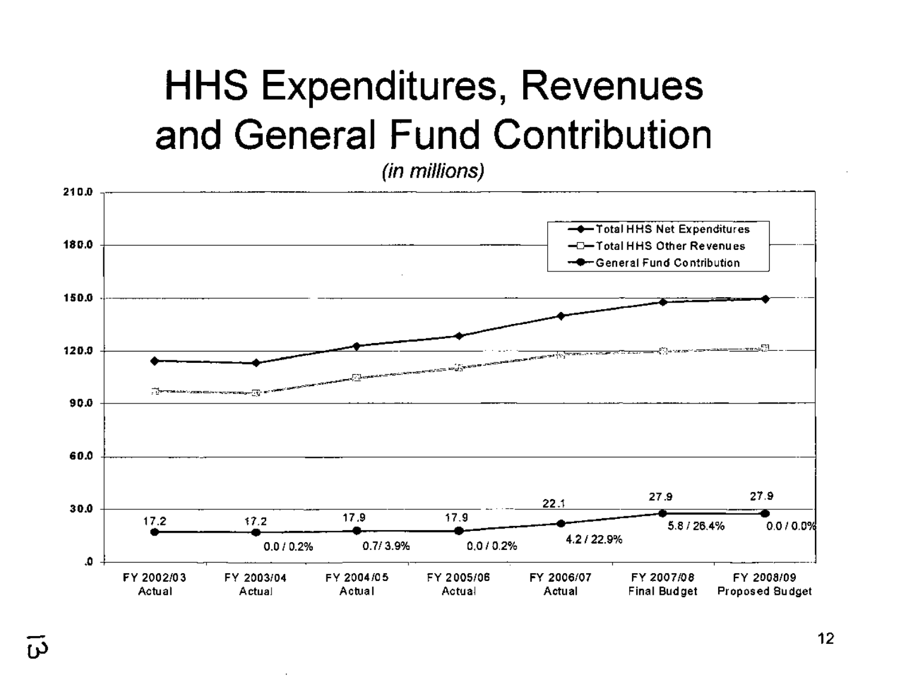### **HHS Expenditures, Revenues** and General Fund Contribution

(in millions)

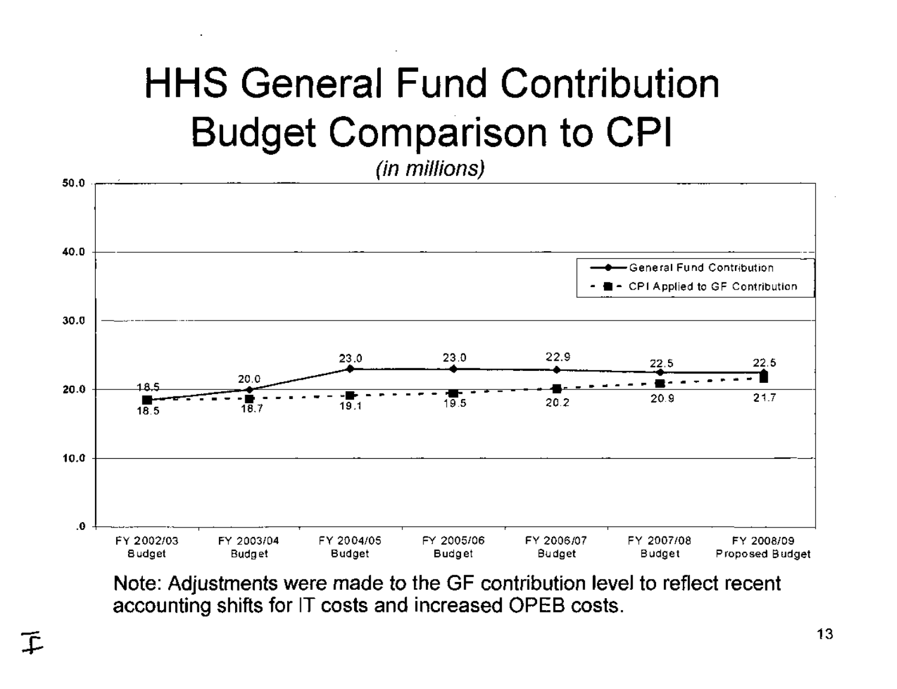### **HHS General Fund Contribution Budget Comparison to CPI**

(in millions)



Note: Adjustments were made to the GF contribution level to reflect recent accounting shifts for IT costs and increased OPEB costs.

下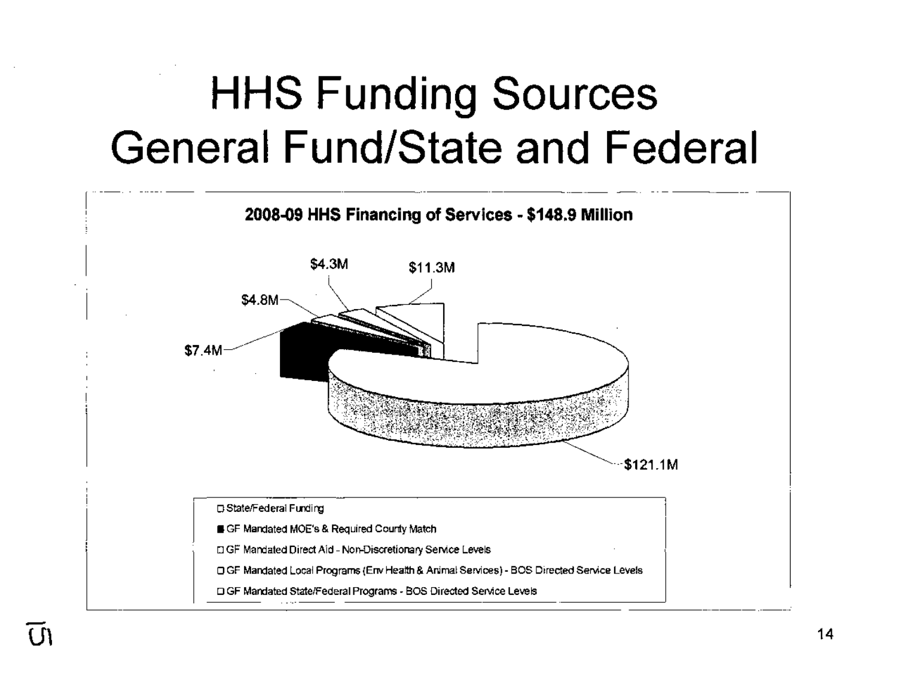### **HHS Funding Sources General Fund/State and Federal**

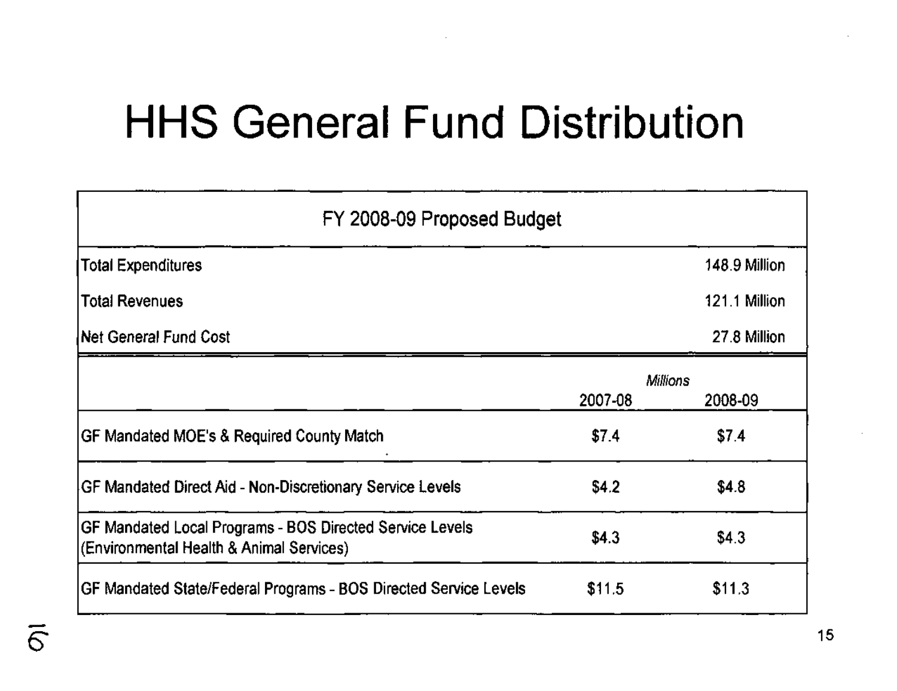### **HHS General Fund Distribution**

| FY 2008-09 Proposed Budget                                                                           |                 |               |  |  |  |
|------------------------------------------------------------------------------------------------------|-----------------|---------------|--|--|--|
| <b>Total Expenditures</b>                                                                            |                 | 148.9 Million |  |  |  |
| <b>Total Revenues</b>                                                                                |                 | 121.1 Million |  |  |  |
| lNet General Fund Cost                                                                               |                 | 27.8 Million  |  |  |  |
|                                                                                                      | <b>Millions</b> |               |  |  |  |
|                                                                                                      | 2007-08         | 2008-09       |  |  |  |
| GF Mandated MOE's & Required County Match                                                            | \$7.4           | \$7.4         |  |  |  |
| GF Mandated Direct Aid - Non-Discretionary Service Levels                                            | \$4.2           | \$4.8         |  |  |  |
| GF Mandated Local Programs - BOS Directed Service Levels<br>(Environmental Health & Animal Services) | \$4.3           | \$4.3         |  |  |  |
| GF Mandated State/Federal Programs - BOS Directed Service Levels                                     | \$11.5          | \$11.3        |  |  |  |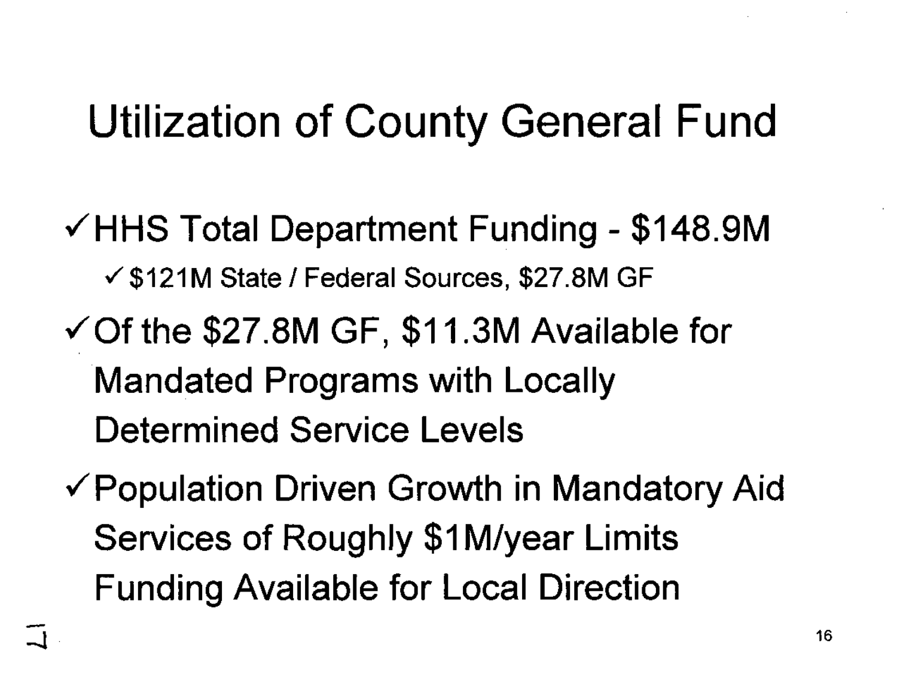### **Utilization of County General Fund**

- $\checkmark$  HHS Total Department Funding \$148.9M √ \$121M State / Federal Sources, \$27.8M GF
- $\checkmark$  Of the \$27.8M GF, \$11.3M Available for **Mandated Programs with Locally Determined Service Levels**
- ✓ Population Driven Growth in Mandatory Aid Services of Roughly \$1M/year Limits **Funding Available for Local Direction**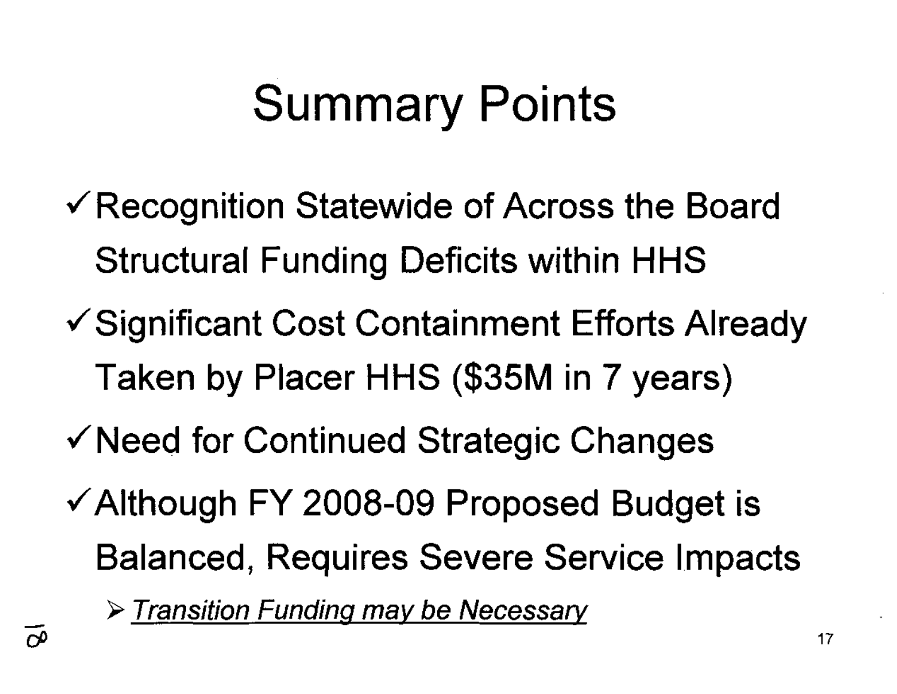## Summary Points

- $\checkmark$  Recognition Statewide of Across the Board Structural Funding Deficits within HHS
- $\checkmark$  Significant Cost Containment Efforts Already Taken by Placer HHS (\$35M in 7 years)
- $\checkmark$  Need for Continued Strategic Changes
- $\checkmark$  Although FY 2008-09 Proposed Budget is Balanced, Requires Severe Service Impacts

> Transition Funding may be Necessary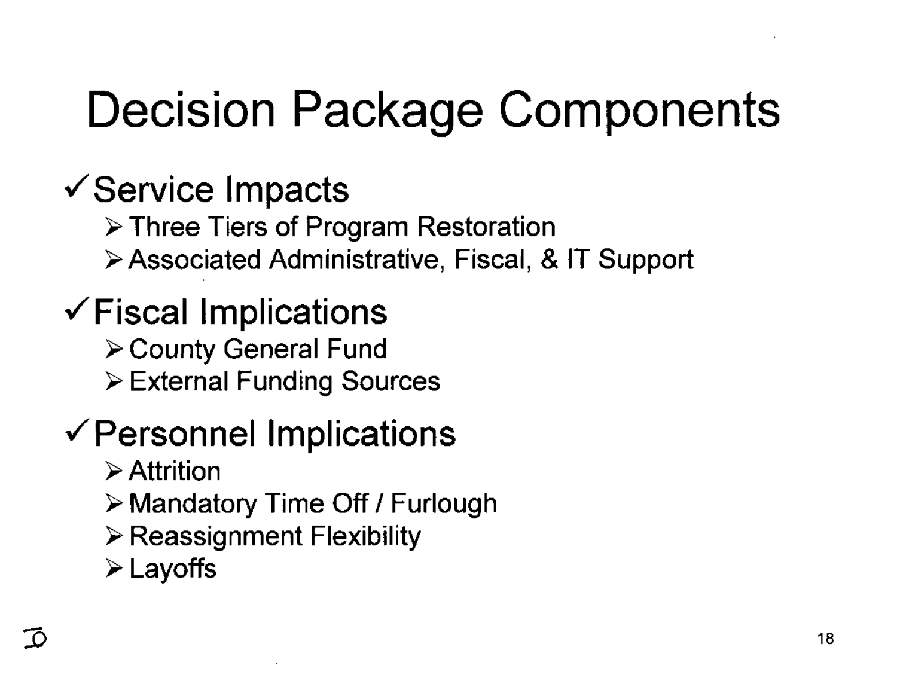## Decision Package Components

#### $\checkmark$  Service Impacts

- **Three Tiers of Program Restoration**
- Associated Administrative, Fiscal, & IT Support

#### $\checkmark$  Fiscal Implications

- County General Fund
- External Funding Sources

### $\checkmark$  Personnel Implications

- $\triangleright$  Attrition
- $\triangleright$  Mandatory Time Off / Furlough
- Reassignment Flexibility
- Layoffs

 $\vec{D}$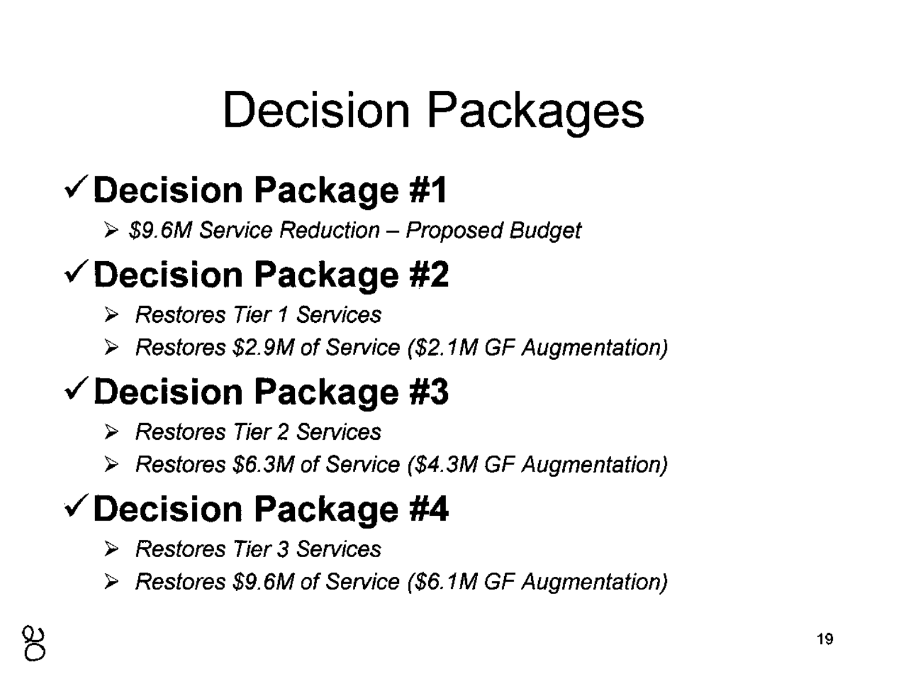## Decision Packages

### $\checkmark$  Decision Package #1

 $\triangleright$  \$9.6M Service Reduction - Proposed Budget

### $\checkmark$  Decision Package #2

- Restores Tier 1 Services
- $\triangleright$  Restores \$2.9M of Service (\$2.1M GF Augmentation)

### $\checkmark$  Decision Package #3

- Restores Tier 2 Services
- Restores \$6.3M of Service (\$4.3M GF Augmentation)

### $\checkmark$  Decision Package #4

- ▶ Restores Tier 3 Services
- Restores \$9.6M of Service (\$6. 1M GF Augmentation)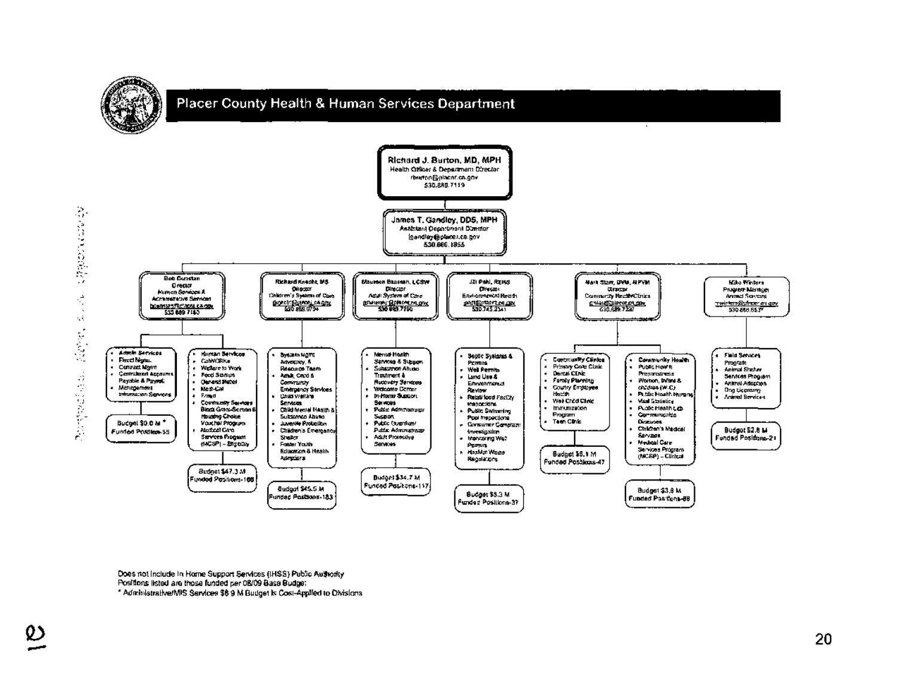

Does not include in Home Support Services (IHSS) Public Authority Positions listed are those funded per 08/09 Base Budget

\* Administrative/MIS Services \$6.9 M Budget is Cost-Applied to Olvisions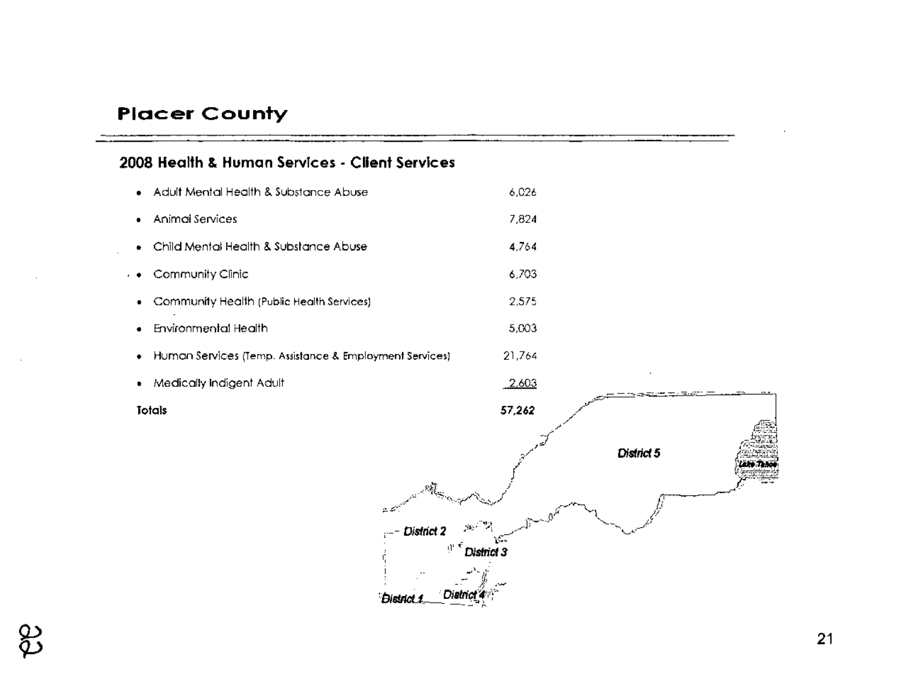#### **Placer County**

#### **2008 Health & Human Services - Client Services**

• Adult Mental Health & Substance Abuse • Animal Services • Child Mental Health & Substance Abuse .• Community Clinic • Community Health (Public Health Services) • Environmental Health • Human Services (Temp. Assistance & Employment Services) 6,026 7,824 4,764 6,703 2,575 5,003 21,764 • Medically Indigent Adult 2,603 **Totals** ,..('

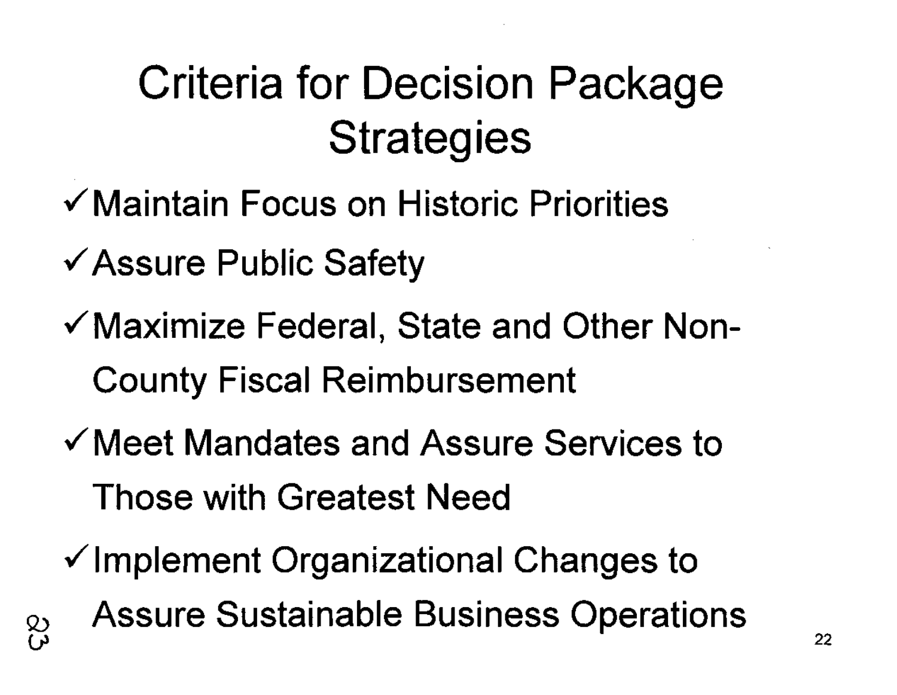### Criteria for Decision Package **Strategies**

- **,(Maintain Focus on Historic Priorities**
- $\checkmark$  Assure Public Safety
- **,(Maximize Federal, State and Other Non-County Fiscal Reimbursement**
- **,(Meet Mandates and Assure Services to Those with Greatest Need**
- $\checkmark$  Implement Organizational Changes to **Q) Assure Sustainable Business Operations**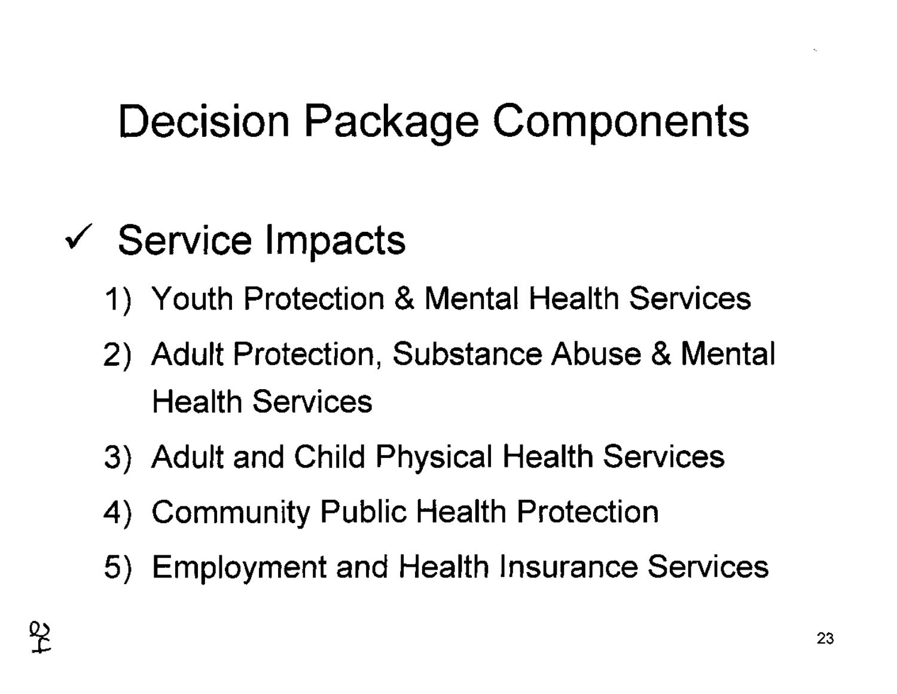### Decision Package Components

- $\checkmark$  Service Impacts
	- 1) Youth Protection & Mental Health Services
	- 2) Adult Protection, Substance Abuse & Mental Health Services
	- 3) Adult and Child Physical Health Services
	- 4) Community Public Health Protection
	- 5) Employment and Health Insurance Services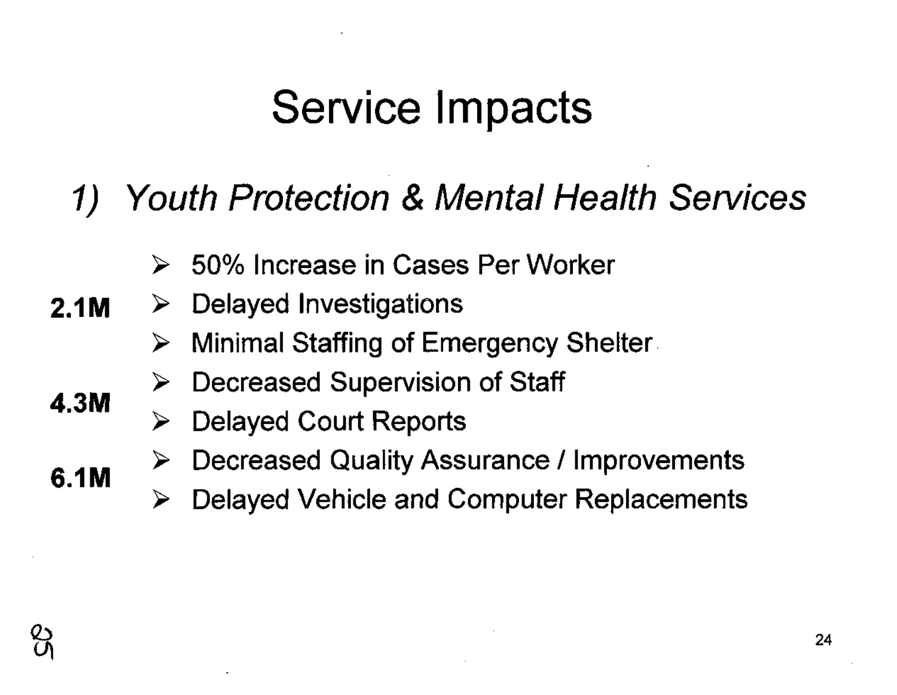#### 1) Youth Protection & Mental Health Services

- 50% Increase in Cases Per Worker  $\blacktriangleright$
- 2.1M  $\triangleright$  Delayed Investigations
	- Minimal Staffing of Emergency Shelter. ➤
	- Decreased Supervision of Staff ➤
	- Delayed Court Reports ➤
	- Decreased Quality Assurance / Improvements ➤
		- Delayed Vehicle and Computer Replacements



4.3M

6.1M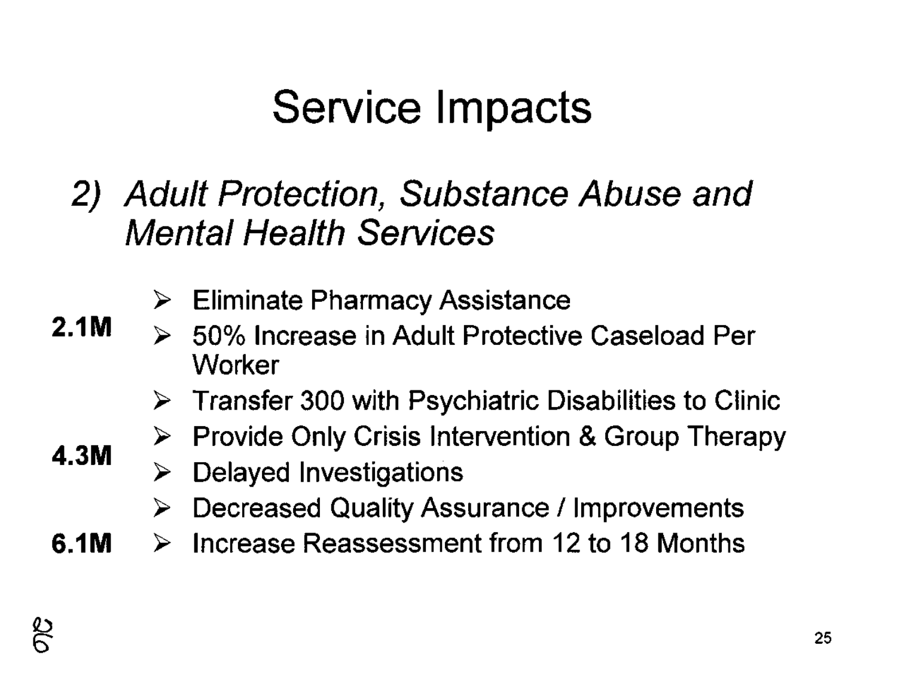2) Adult Protection, Substance Abuse and Mental Health Services

- Eliminate Pharmacy Assistance
- 50% Increase in Adult Protective Caseload Per **Worker** 
	- $\triangleright$  Transfer 300 with Psychiatric Disabilities to Clinic
	- Provide Only Crisis Intervention & Group Therapy ➤
	- Delayed Investigations ➤
		- Decreased Quality Assurance / Improvements ➤
- **6.1M**  $\triangleright$  Increase Reassessment from 12 to 18 Months

**2.1M**

**4.3M**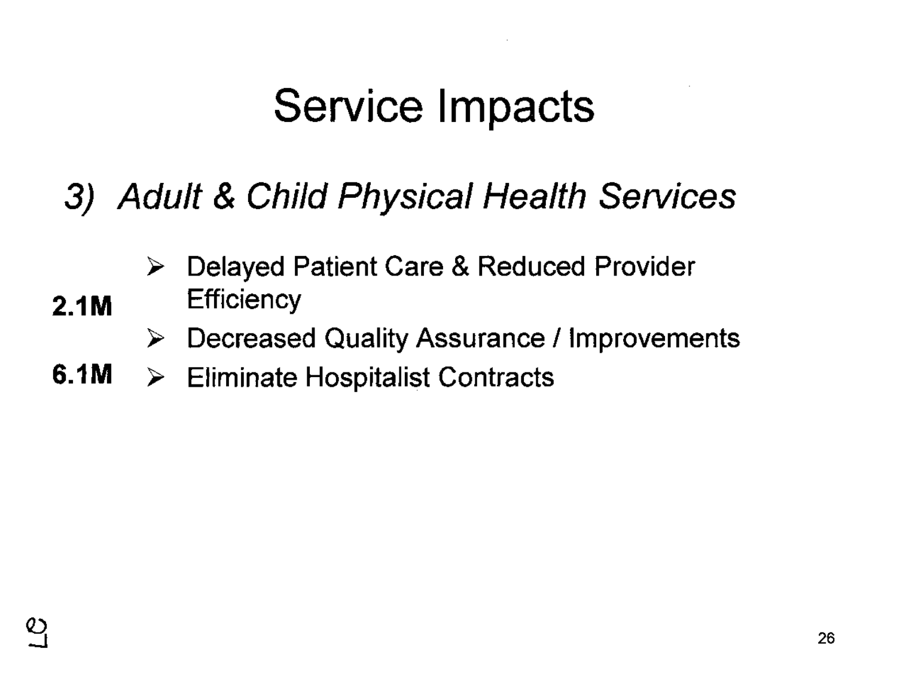#### 3) Adult & Child Physical Health Services

Delayed Patient Care & Reduced Provider  $\blacktriangleright$ 

#### 2.1M Efficiency

- $\triangleright$  Decreased Quality Assurance / Improvements
- 6.1M  $\triangleright$  Eliminate Hospitalist Contracts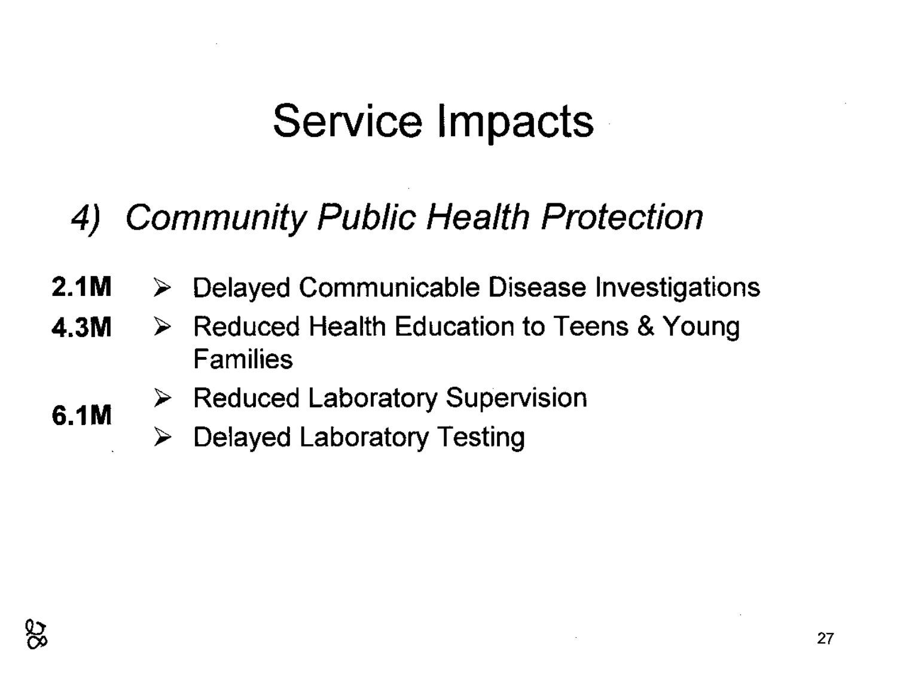#### 4) Community Public Health Protection

- 2.1M  $\triangleright$  Delayed Communicable Disease Investigations
- 4.3M  $\triangleright$  Reduced Health Education to Teens & Young Families
	- $\triangleright$  Reduced Laboratory Supervision
		- $\triangleright$  Delayed Laboratory Testing

6.1M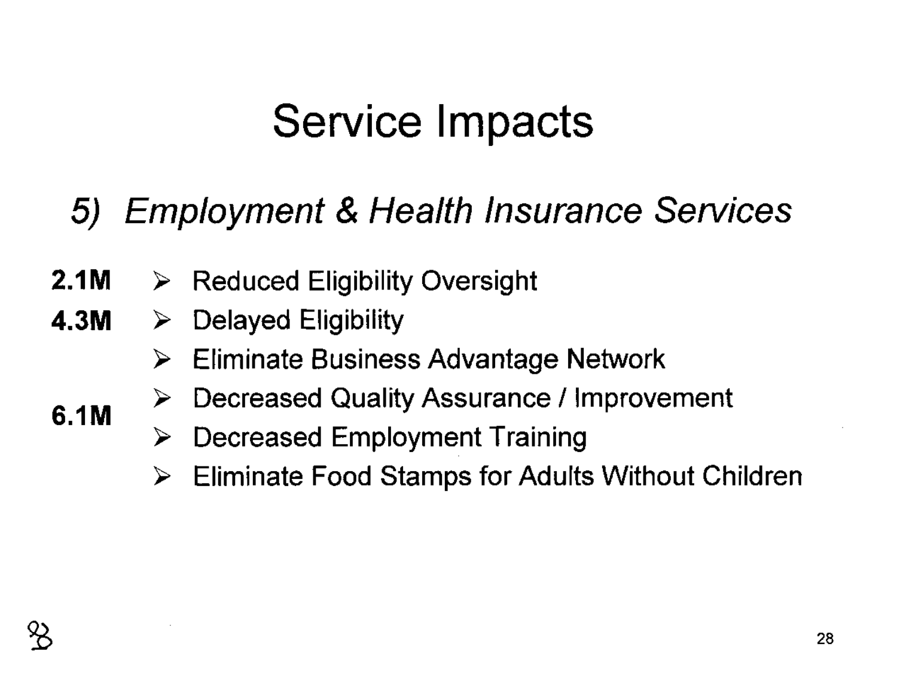#### 5) Employment & Health Insurance Services

- 2.1M  $\triangleright$  Reduced Eligibility Oversight
- 4.3M  $\triangleright$  Delayed Eligibility
	- Eliminate Business Advantage Network ➤
	- Decreased Quality Assurance / Improvement ➤
	- $\triangleright$  Decreased Employment Training
	- Eliminate Food Stamps for Adults Without Children ➤



6.1M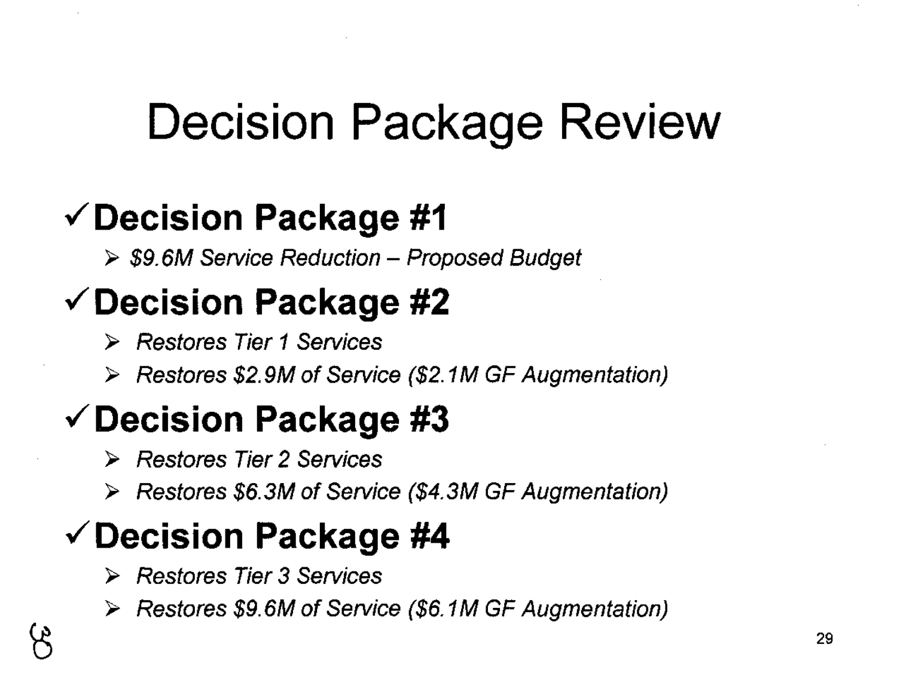### Decision Package Review

#### $\checkmark$  Decision Package #1

 $\triangleright$  \$9.6M Service Reduction - Proposed Budget

#### $\checkmark$  Decision Package #2

- Restores Tier 1 Services
- $\triangleright$  Restores \$2.9M of Service (\$2.1M GF Augmentation)

### $\checkmark$  Decision Package #3

- Restores Tier 2 Services
- Restores \$6.3M of Service (\$4.3M GF Augmentation)

#### $\checkmark$  Decision Package #4

- Restores Tier 3 Services
- Restores \$9.6M of Service (\$6. 1M GF Augmentation)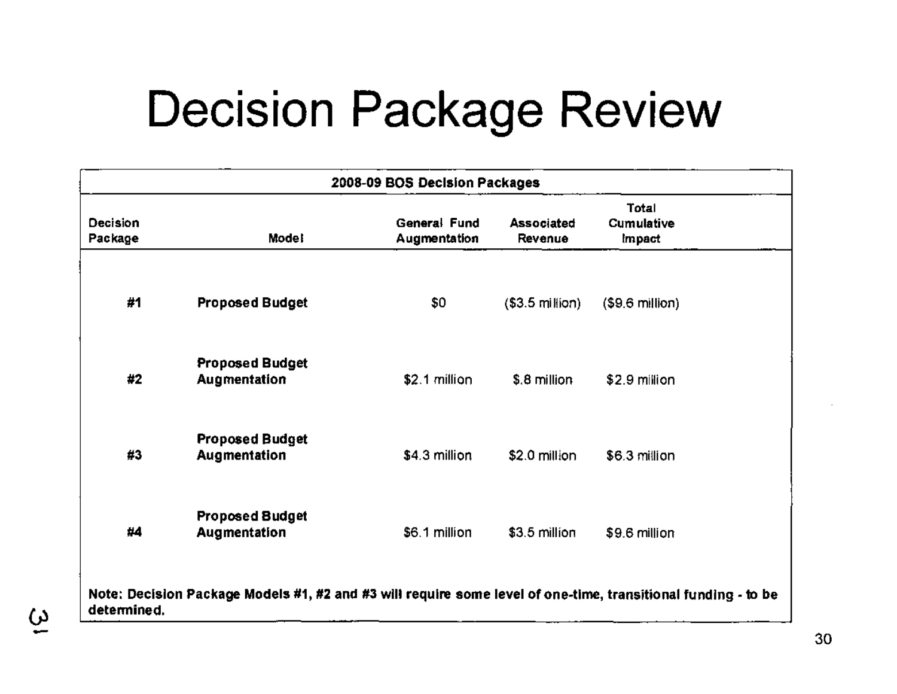### Decision Package Review

| 2008-09 BOS Decision Packages                                                                                                |                                        |                              |                              |                               |  |
|------------------------------------------------------------------------------------------------------------------------------|----------------------------------------|------------------------------|------------------------------|-------------------------------|--|
| Decision<br>Package                                                                                                          | <b>Model</b>                           | General Fund<br>Augmentation | <b>Associated</b><br>Revenue | Total<br>Cumulative<br>Impact |  |
| #1                                                                                                                           | <b>Proposed Budget</b>                 | \$0                          | $($3.5 \text{ million})$     | $($9.6$ million)              |  |
| #2                                                                                                                           | <b>Proposed Budget</b><br>Augmentation | \$2.1 million                | \$.8 million                 | \$2.9 million                 |  |
| #3                                                                                                                           | <b>Proposed Budget</b><br>Augmentation | \$4.3 million                | \$2.0 million                | \$6.3 million                 |  |
| #4                                                                                                                           | <b>Proposed Budget</b><br>Augmentation | \$6.1 million                | $$3.5$ million               | \$9.6 million                 |  |
| Note: Decision Package Models #1, #2 and #3 will require some level of one-time, transitional funding - to be<br>determined. |                                        |                              |                              |                               |  |